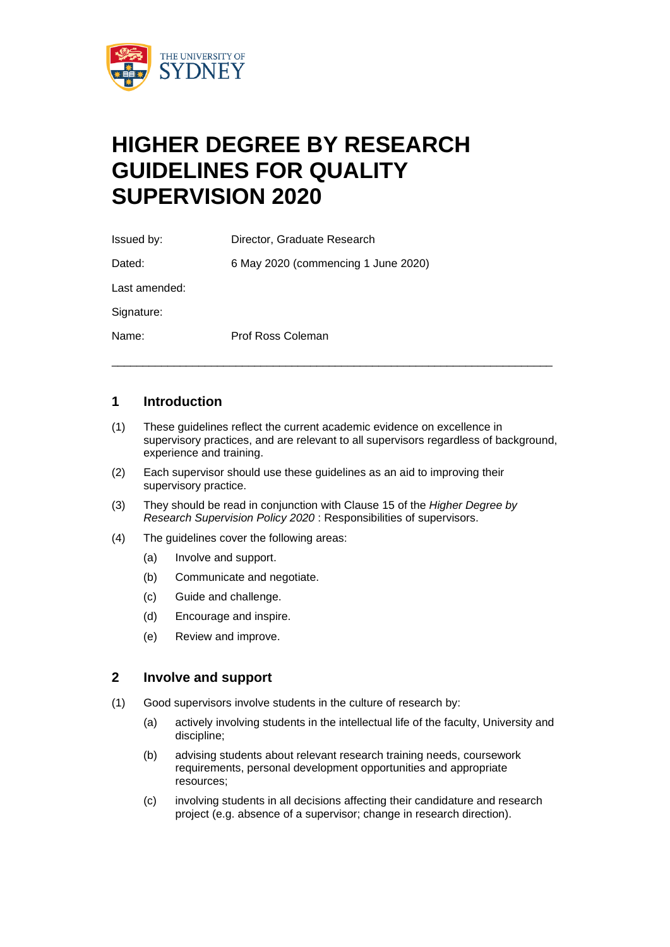

# **HIGHER DEGREE BY RESEARCH GUIDELINES FOR QUALITY SUPERVISION 2020**

Issued by: Director, Graduate Research Dated: 6 May 2020 (commencing 1 June 2020) Last amended: Signature: Name: Prof Ross Coleman

### **1 Introduction**

(1) These guidelines reflect the current academic evidence on excellence in supervisory practices, and are relevant to all supervisors regardless of background, experience and training.

\_\_\_\_\_\_\_\_\_\_\_\_\_\_\_\_\_\_\_\_\_\_\_\_\_\_\_\_\_\_\_\_\_\_\_\_\_\_\_\_\_\_\_\_\_\_\_\_\_\_\_\_\_\_\_\_\_\_\_\_\_\_\_\_\_\_\_\_\_\_\_

- (2) Each supervisor should use these guidelines as an aid to improving their supervisory practice.
- (3) They should be read in conjunction with Clause 15 of the *Higher Degree by Research Supervision Policy 2020* : Responsibilities of supervisors.
- (4) The guidelines cover the following areas:
	- (a) Involve and support.
	- (b) Communicate and negotiate.
	- (c) Guide and challenge.
	- (d) Encourage and inspire.
	- (e) Review and improve.

#### **2 Involve and support**

- (1) Good supervisors involve students in the culture of research by:
	- (a) actively involving students in the intellectual life of the faculty, University and discipline;
	- (b) advising students about relevant research training needs, coursework requirements, personal development opportunities and appropriate resources;
	- (c) involving students in all decisions affecting their candidature and research project (e.g. absence of a supervisor; change in research direction).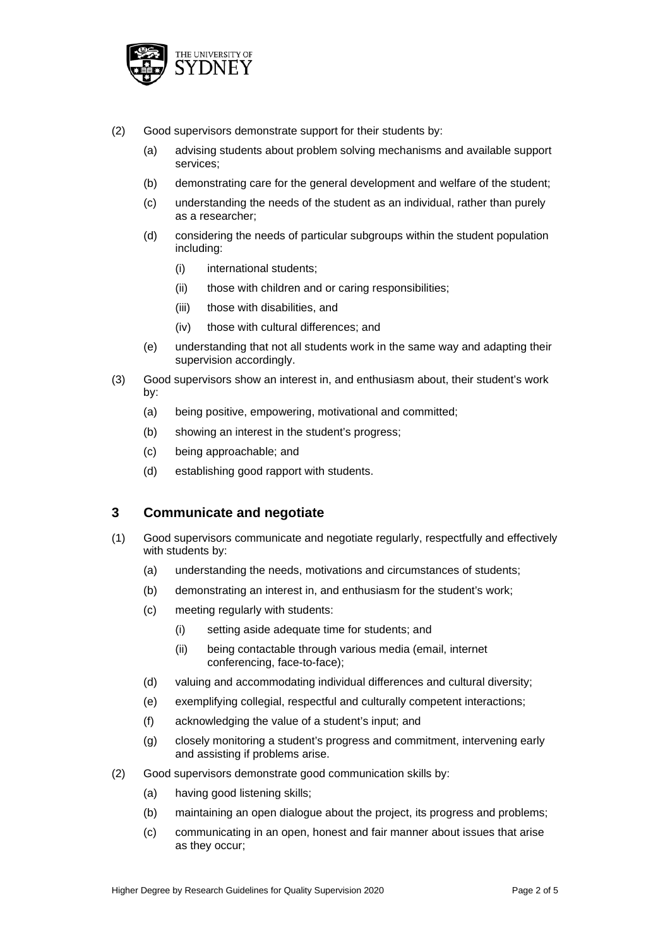

- (2) Good supervisors demonstrate support for their students by:
	- (a) advising students about problem solving mechanisms and available support services;
	- (b) demonstrating care for the general development and welfare of the student;
	- (c) understanding the needs of the student as an individual, rather than purely as a researcher;
	- (d) considering the needs of particular subgroups within the student population including:
		- (i) international students;
		- (ii) those with children and or caring responsibilities;
		- (iii) those with disabilities, and
		- (iv) those with cultural differences; and
	- (e) understanding that not all students work in the same way and adapting their supervision accordingly.
- (3) Good supervisors show an interest in, and enthusiasm about, their student's work by:
	- (a) being positive, empowering, motivational and committed;
	- (b) showing an interest in the student's progress;
	- (c) being approachable; and
	- (d) establishing good rapport with students.

### **3 Communicate and negotiate**

- (1) Good supervisors communicate and negotiate regularly, respectfully and effectively with students by:
	- (a) understanding the needs, motivations and circumstances of students;
	- (b) demonstrating an interest in, and enthusiasm for the student's work;
	- (c) meeting regularly with students:
		- (i) setting aside adequate time for students; and
		- (ii) being contactable through various media (email, internet conferencing, face-to-face);
	- (d) valuing and accommodating individual differences and cultural diversity;
	- (e) exemplifying collegial, respectful and culturally competent interactions;
	- (f) acknowledging the value of a student's input; and
	- (g) closely monitoring a student's progress and commitment, intervening early and assisting if problems arise.
- (2) Good supervisors demonstrate good communication skills by:
	- (a) having good listening skills;
	- (b) maintaining an open dialogue about the project, its progress and problems;
	- (c) communicating in an open, honest and fair manner about issues that arise as they occur;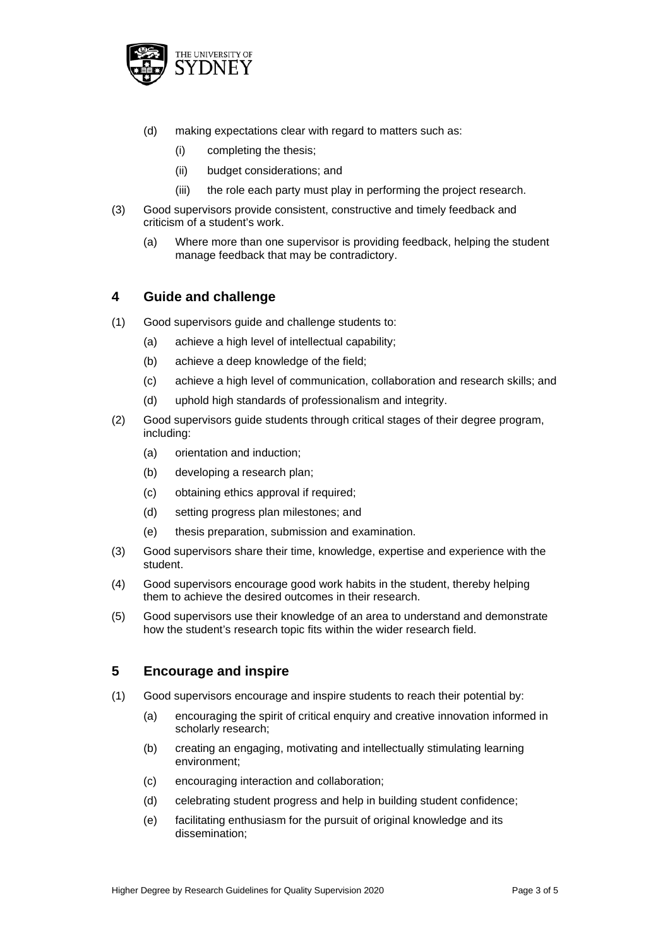

- (d) making expectations clear with regard to matters such as:
	- (i) completing the thesis;
	- (ii) budget considerations; and
	- (iii) the role each party must play in performing the project research.
- (3) Good supervisors provide consistent, constructive and timely feedback and criticism of a student's work.
	- (a) Where more than one supervisor is providing feedback, helping the student manage feedback that may be contradictory.

#### **4 Guide and challenge**

- (1) Good supervisors guide and challenge students to:
	- (a) achieve a high level of intellectual capability;
	- (b) achieve a deep knowledge of the field;
	- (c) achieve a high level of communication, collaboration and research skills; and
	- (d) uphold high standards of professionalism and integrity.
- (2) Good supervisors guide students through critical stages of their degree program, including:
	- (a) orientation and induction;
	- (b) developing a research plan;
	- (c) obtaining ethics approval if required;
	- (d) setting progress plan milestones; and
	- (e) thesis preparation, submission and examination.
- (3) Good supervisors share their time, knowledge, expertise and experience with the student.
- (4) Good supervisors encourage good work habits in the student, thereby helping them to achieve the desired outcomes in their research.
- (5) Good supervisors use their knowledge of an area to understand and demonstrate how the student's research topic fits within the wider research field.

#### **5 Encourage and inspire**

- (1) Good supervisors encourage and inspire students to reach their potential by:
	- (a) encouraging the spirit of critical enquiry and creative innovation informed in scholarly research;
	- (b) creating an engaging, motivating and intellectually stimulating learning environment;
	- (c) encouraging interaction and collaboration;
	- (d) celebrating student progress and help in building student confidence;
	- (e) facilitating enthusiasm for the pursuit of original knowledge and its dissemination;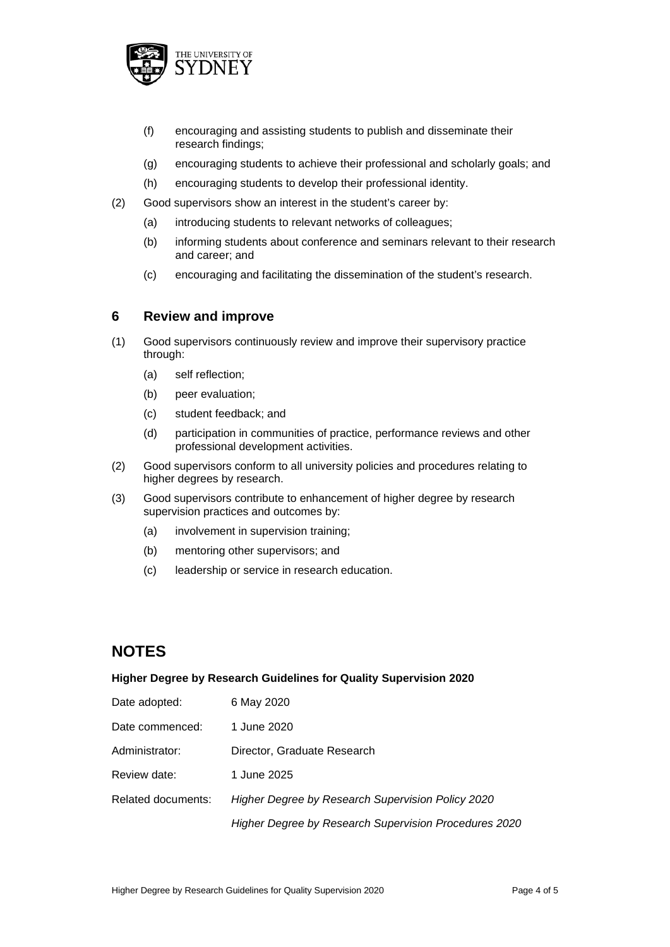

- (f) encouraging and assisting students to publish and disseminate their research findings;
- (g) encouraging students to achieve their professional and scholarly goals; and
- (h) encouraging students to develop their professional identity.
- (2) Good supervisors show an interest in the student's career by:
	- (a) introducing students to relevant networks of colleagues;
	- (b) informing students about conference and seminars relevant to their research and career; and
	- (c) encouraging and facilitating the dissemination of the student's research.

#### **6 Review and improve**

- (1) Good supervisors continuously review and improve their supervisory practice through:
	- (a) self reflection;
	- (b) peer evaluation;
	- (c) student feedback; and
	- (d) participation in communities of practice, performance reviews and other professional development activities.
- (2) Good supervisors conform to all university policies and procedures relating to higher degrees by research.
- (3) Good supervisors contribute to enhancement of higher degree by research supervision practices and outcomes by:
	- (a) involvement in supervision training;
	- (b) mentoring other supervisors; and
	- (c) leadership or service in research education.

## **NOTES**

#### **Higher Degree by Research Guidelines for Quality Supervision 2020**

| Date adopted:      | 6 May 2020                                            |
|--------------------|-------------------------------------------------------|
| Date commenced:    | 1 June 2020                                           |
| Administrator:     | Director, Graduate Research                           |
| Review date:       | 1 June 2025                                           |
| Related documents: | Higher Degree by Research Supervision Policy 2020     |
|                    | Higher Degree by Research Supervision Procedures 2020 |